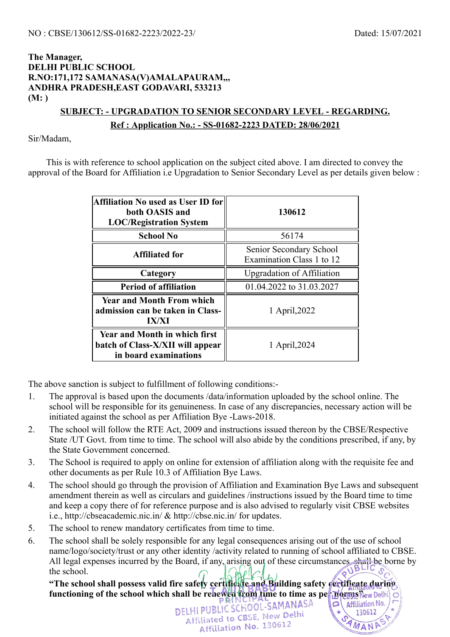#### **The Manager, DELHI PUBLIC SCHOOL R.NO:171,172 SAMANASA(V)AMALAPAURAM,,, ANDHRA PRADESH,EAST GODAVARI, 533213 (M: )**

# **SUBJECT: - UPGRADATION TO SENIOR SECONDARY LEVEL - REGARDING.**

#### **Ref : Application No.: - SS-01682-2223 DATED: 28/06/2021**

Sir/Madam,

This is with reference to school application on the subject cited above. I am directed to convey the approval of the Board for Affiliation i.e Upgradation to Senior Secondary Level as per details given below :

| <b>Affiliation No used as User ID for</b><br>both OASIS and<br><b>LOC/Registration System</b>     | 130612                                               |  |
|---------------------------------------------------------------------------------------------------|------------------------------------------------------|--|
| <b>School No</b>                                                                                  | 56174                                                |  |
| <b>Affiliated for</b>                                                                             | Senior Secondary School<br>Examination Class 1 to 12 |  |
| Category                                                                                          | <b>Upgradation of Affiliation</b>                    |  |
| <b>Period of affiliation</b>                                                                      | 01.04.2022 to 31.03.2027                             |  |
| <b>Year and Month From which</b><br>admission can be taken in Class-<br><b>IX/XI</b>              | 1 April, 2022                                        |  |
| <b>Year and Month in which first</b><br>batch of Class-X/XII will appear<br>in board examinations | 1 April, 2024                                        |  |

The above sanction is subject to fulfillment of following conditions:-

- 1. The approval is based upon the documents /data/information uploaded by the school online. The school will be responsible for its genuineness. In case of any discrepancies, necessary action will be initiated against the school as per Affiliation Bye -Laws-2018.
- 2. The school will follow the RTE Act, 2009 and instructions issued thereon by the CBSE/Respective State /UT Govt. from time to time. The school will also abide by the conditions prescribed, if any, by the State Government concerned.
- 3. The School is required to apply on online for extension of affiliation along with the requisite fee and other documents as per Rule 10.3 of Affiliation Bye Laws.
- 4. The school should go through the provision of Affiliation and Examination Bye Laws and subsequent amendment therein as well as circulars and guidelines /instructions issued by the Board time to time and keep a copy there of for reference purpose and is also advised to regularly visit CBSE websites i.e., http://cbseacademic.nic.in/ & http://cbse.nic.in/ for updates.
- 5. The school to renew mandatory certificates from time to time.
- 6. The school shall be solely responsible for any legal consequences arising out of the use of school name/logo/society/trust or any other identity /activity related to running of school affiliated to CBSE. All legal expenses incurred by the Board, if any, arising out of these circumstances, shall be borne by the school.

**"The school shall possess valid fire safety certificate and Building safety certificate during functioning of the school which shall be renewed from time to time as per norms New Dethi**<br> **DELHELIC SCHOOL-SAMANASA** 

Affiliated to CBSE, New Delhi Affiliation No. 130612

130612

AMANA